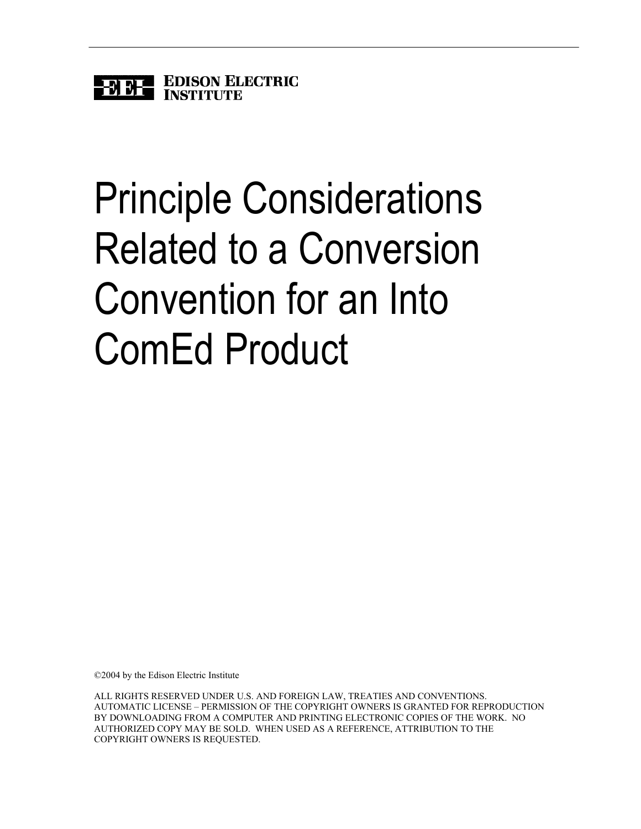

# Principle Considerations Related to a Conversion Convention for an Into ComEd Product

©2004 by the Edison Electric Institute

ALL RIGHTS RESERVED UNDER U.S. AND FOREIGN LAW, TREATIES AND CONVENTIONS. AUTOMATIC LICENSE – PERMISSION OF THE COPYRIGHT OWNERS IS GRANTED FOR REPRODUCTION BY DOWNLOADING FROM A COMPUTER AND PRINTING ELECTRONIC COPIES OF THE WORK. NO AUTHORIZED COPY MAY BE SOLD. WHEN USED AS A REFERENCE, ATTRIBUTION TO THE COPYRIGHT OWNERS IS REQUESTED.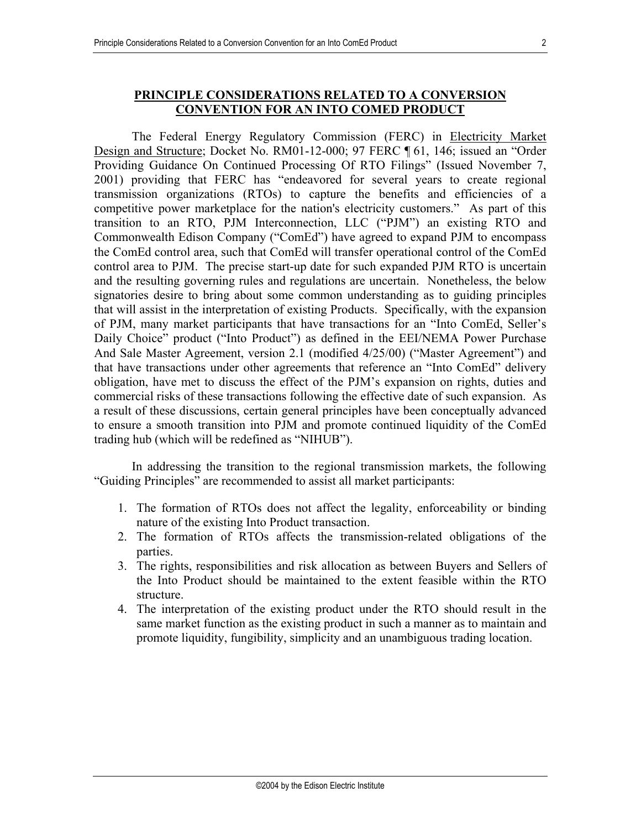### **PRINCIPLE CONSIDERATIONS RELATED TO A CONVERSION CONVENTION FOR AN INTO COMED PRODUCT**

The Federal Energy Regulatory Commission (FERC) in Electricity Market Design and Structure; Docket No. RM01-12-000; 97 FERC ¶ 61, 146; issued an "Order Providing Guidance On Continued Processing Of RTO Filings" (Issued November 7, 2001) providing that FERC has "endeavored for several years to create regional transmission organizations (RTOs) to capture the benefits and efficiencies of a competitive power marketplace for the nation's electricity customers." As part of this transition to an RTO, PJM Interconnection, LLC ("PJM") an existing RTO and Commonwealth Edison Company ("ComEd") have agreed to expand PJM to encompass the ComEd control area, such that ComEd will transfer operational control of the ComEd control area to PJM. The precise start-up date for such expanded PJM RTO is uncertain and the resulting governing rules and regulations are uncertain. Nonetheless, the below signatories desire to bring about some common understanding as to guiding principles that will assist in the interpretation of existing Products. Specifically, with the expansion of PJM, many market participants that have transactions for an "Into ComEd, Seller's Daily Choice" product ("Into Product") as defined in the EEI/NEMA Power Purchase And Sale Master Agreement, version 2.1 (modified 4/25/00) ("Master Agreement") and that have transactions under other agreements that reference an "Into ComEd" delivery obligation, have met to discuss the effect of the PJM's expansion on rights, duties and commercial risks of these transactions following the effective date of such expansion. As a result of these discussions, certain general principles have been conceptually advanced to ensure a smooth transition into PJM and promote continued liquidity of the ComEd trading hub (which will be redefined as "NIHUB").

In addressing the transition to the regional transmission markets, the following "Guiding Principles" are recommended to assist all market participants:

- 1. The formation of RTOs does not affect the legality, enforceability or binding nature of the existing Into Product transaction.
- 2. The formation of RTOs affects the transmission-related obligations of the parties.
- 3. The rights, responsibilities and risk allocation as between Buyers and Sellers of the Into Product should be maintained to the extent feasible within the RTO structure.
- 4. The interpretation of the existing product under the RTO should result in the same market function as the existing product in such a manner as to maintain and promote liquidity, fungibility, simplicity and an unambiguous trading location.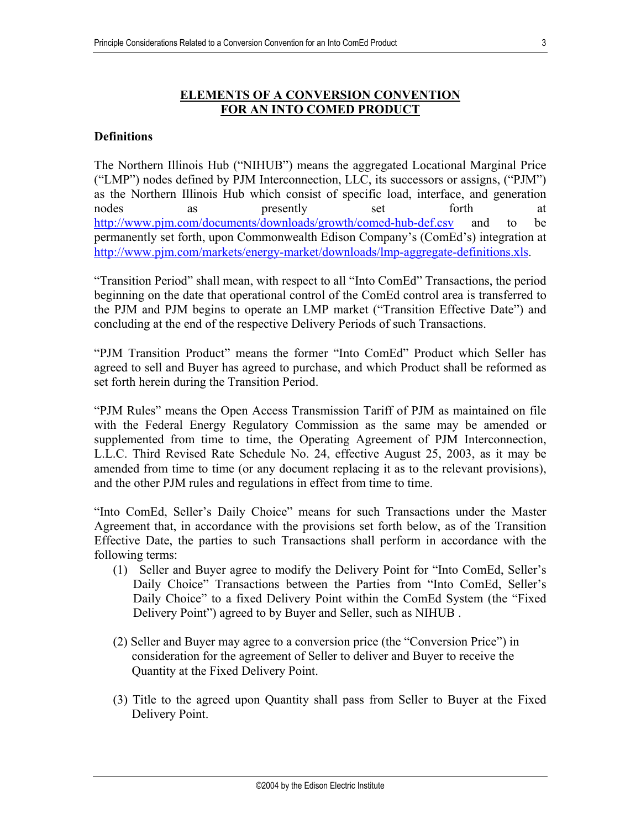## **ELEMENTS OF A CONVERSION CONVENTION FOR AN INTO COMED PRODUCT**

### **Definitions**

The Northern Illinois Hub ("NIHUB") means the aggregated Locational Marginal Price ("LMP") nodes defined by PJM Interconnection, LLC, its successors or assigns, ("PJM") as the Northern Illinois Hub which consist of specific load, interface, and generation nodes as presently set forth at <http://www.pjm.com/documents/downloads/growth/comed-hub-def.csv>and to be permanently set forth, upon Commonwealth Edison Company's (ComEd's) integration at [http://www.pjm.com/markets/energy-market/downloads/lmp-aggregate-definitions.xls.](http://www.pjm.com/markets/energy-market/downloads/lmp-aggregate-definitions.xls)

"Transition Period" shall mean, with respect to all "Into ComEd" Transactions, the period beginning on the date that operational control of the ComEd control area is transferred to the PJM and PJM begins to operate an LMP market ("Transition Effective Date") and concluding at the end of the respective Delivery Periods of such Transactions.

"PJM Transition Product" means the former "Into ComEd" Product which Seller has agreed to sell and Buyer has agreed to purchase, and which Product shall be reformed as set forth herein during the Transition Period.

"PJM Rules" means the Open Access Transmission Tariff of PJM as maintained on file with the Federal Energy Regulatory Commission as the same may be amended or supplemented from time to time, the Operating Agreement of PJM Interconnection, L.L.C. Third Revised Rate Schedule No. 24, effective August 25, 2003, as it may be amended from time to time (or any document replacing it as to the relevant provisions), and the other PJM rules and regulations in effect from time to time.

"Into ComEd, Seller's Daily Choice" means for such Transactions under the Master Agreement that, in accordance with the provisions set forth below, as of the Transition Effective Date, the parties to such Transactions shall perform in accordance with the following terms:

- (1) Seller and Buyer agree to modify the Delivery Point for "Into ComEd, Seller's Daily Choice" Transactions between the Parties from "Into ComEd, Seller's Daily Choice" to a fixed Delivery Point within the ComEd System (the "Fixed Delivery Point") agreed to by Buyer and Seller, such as NIHUB .
- (2) Seller and Buyer may agree to a conversion price (the "Conversion Price") in consideration for the agreement of Seller to deliver and Buyer to receive the Quantity at the Fixed Delivery Point.
- (3) Title to the agreed upon Quantity shall pass from Seller to Buyer at the Fixed Delivery Point.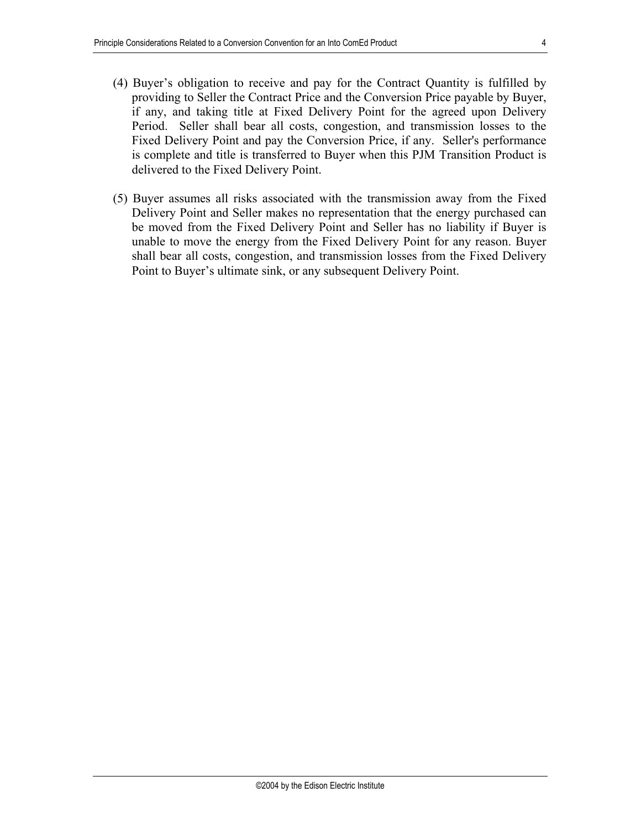- (4) Buyer's obligation to receive and pay for the Contract Quantity is fulfilled by providing to Seller the Contract Price and the Conversion Price payable by Buyer, if any, and taking title at Fixed Delivery Point for the agreed upon Delivery Period. Seller shall bear all costs, congestion, and transmission losses to the Fixed Delivery Point and pay the Conversion Price, if any. Seller's performance is complete and title is transferred to Buyer when this PJM Transition Product is delivered to the Fixed Delivery Point.
- (5) Buyer assumes all risks associated with the transmission away from the Fixed Delivery Point and Seller makes no representation that the energy purchased can be moved from the Fixed Delivery Point and Seller has no liability if Buyer is unable to move the energy from the Fixed Delivery Point for any reason. Buyer shall bear all costs, congestion, and transmission losses from the Fixed Delivery Point to Buyer's ultimate sink, or any subsequent Delivery Point.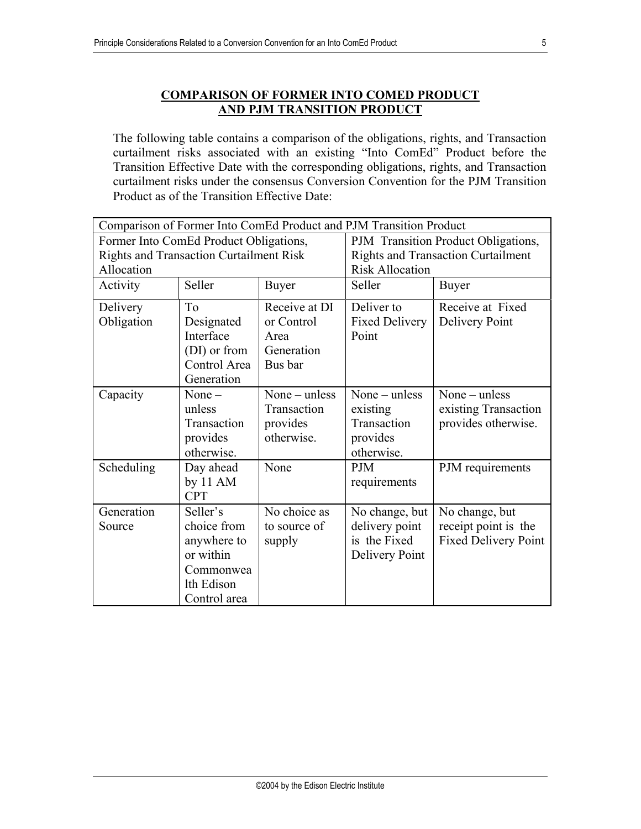## **COMPARISON OF FORMER INTO COMED PRODUCT AND PJM TRANSITION PRODUCT**

The following table contains a comparison of the obligations, rights, and Transaction curtailment risks associated with an existing "Into ComEd" Product before the Transition Effective Date with the corresponding obligations, rights, and Transaction curtailment risks under the consensus Conversion Convention for the PJM Transition Product as of the Transition Effective Date:

| Comparison of Former Into ComEd Product and PJM Transition Product |              |                        |                                                                     |                             |
|--------------------------------------------------------------------|--------------|------------------------|---------------------------------------------------------------------|-----------------------------|
| Former Into ComEd Product Obligations,                             |              |                        | PJM Transition Product Obligations,                                 |                             |
| <b>Rights and Transaction Curtailment Risk</b><br>Allocation       |              |                        | <b>Rights and Transaction Curtailment</b><br><b>Risk Allocation</b> |                             |
| Seller                                                             |              | Seller<br><b>Buyer</b> |                                                                     |                             |
| Activity                                                           |              | <b>Buyer</b>           |                                                                     |                             |
| Delivery                                                           | To           | Receive at DI          | Deliver to                                                          | Receive at Fixed            |
| Obligation                                                         | Designated   | or Control             | <b>Fixed Delivery</b>                                               | <b>Delivery Point</b>       |
|                                                                    | Interface    | Area                   | Point                                                               |                             |
|                                                                    | (DI) or from | Generation             |                                                                     |                             |
|                                                                    | Control Area | Bus bar                |                                                                     |                             |
|                                                                    | Generation   |                        |                                                                     |                             |
| Capacity                                                           | None $-$     | None $-$ unless        | None $-$ unless                                                     | None $-$ unless             |
|                                                                    | unless       | Transaction            | existing                                                            | existing Transaction        |
|                                                                    | Transaction  | provides               | Transaction                                                         | provides otherwise.         |
|                                                                    | provides     | otherwise.             | provides                                                            |                             |
|                                                                    | otherwise.   |                        | otherwise.                                                          |                             |
| Scheduling                                                         | Day ahead    | None                   | <b>PJM</b>                                                          | PJM requirements            |
|                                                                    | by $11 AM$   |                        | requirements                                                        |                             |
|                                                                    | <b>CPT</b>   |                        |                                                                     |                             |
| Generation                                                         | Seller's     | No choice as           | No change, but                                                      | No change, but              |
| Source                                                             | choice from  | to source of           | delivery point                                                      | receipt point is the        |
|                                                                    | anywhere to  | supply                 | is the Fixed                                                        | <b>Fixed Delivery Point</b> |
|                                                                    | or within    |                        | Delivery Point                                                      |                             |
|                                                                    | Commonwea    |                        |                                                                     |                             |
|                                                                    | lth Edison   |                        |                                                                     |                             |
|                                                                    | Control area |                        |                                                                     |                             |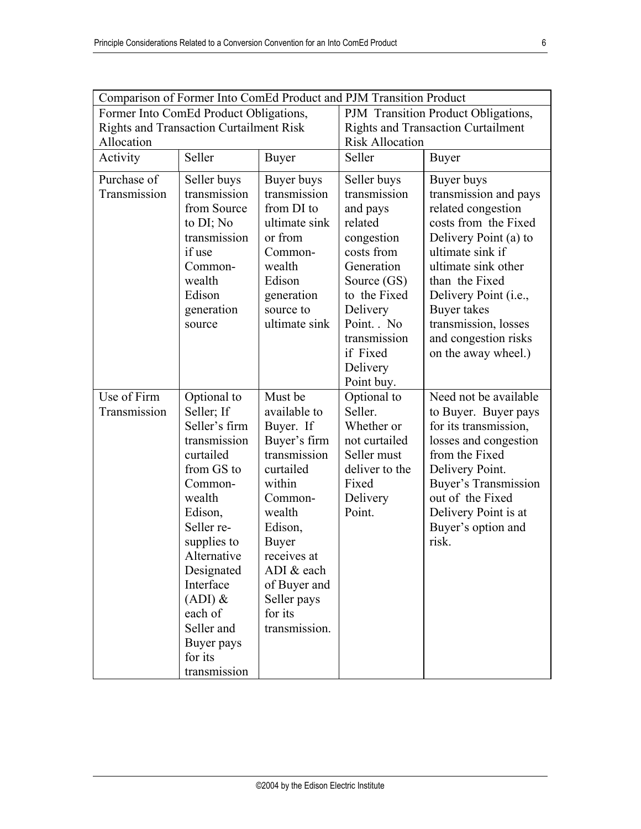| Comparison of Former Into ComEd Product and PJM Transition Product                                     |                                                                                                                                                                                                                                                                             |                                                                                                                                                                                                                                     |                                                                                                                                                                                                            |                                                                                                                                                                                                                                                                                        |  |
|--------------------------------------------------------------------------------------------------------|-----------------------------------------------------------------------------------------------------------------------------------------------------------------------------------------------------------------------------------------------------------------------------|-------------------------------------------------------------------------------------------------------------------------------------------------------------------------------------------------------------------------------------|------------------------------------------------------------------------------------------------------------------------------------------------------------------------------------------------------------|----------------------------------------------------------------------------------------------------------------------------------------------------------------------------------------------------------------------------------------------------------------------------------------|--|
| Former Into ComEd Product Obligations,<br><b>Rights and Transaction Curtailment Risk</b><br>Allocation |                                                                                                                                                                                                                                                                             | PJM Transition Product Obligations,<br><b>Rights and Transaction Curtailment</b><br><b>Risk Allocation</b>                                                                                                                          |                                                                                                                                                                                                            |                                                                                                                                                                                                                                                                                        |  |
| Activity                                                                                               | Seller                                                                                                                                                                                                                                                                      | <b>Buyer</b>                                                                                                                                                                                                                        | Seller                                                                                                                                                                                                     | <b>Buyer</b>                                                                                                                                                                                                                                                                           |  |
| Purchase of<br>Transmission                                                                            | Seller buys<br>transmission<br>from Source<br>to DI; No<br>transmission<br>if use<br>Common-<br>wealth<br>Edison<br>generation<br>source                                                                                                                                    | Buyer buys<br>transmission<br>from DI to<br>ultimate sink<br>or from<br>Common-<br>wealth<br>Edison<br>generation<br>source to<br>ultimate sink                                                                                     | Seller buys<br>transmission<br>and pays<br>related<br>congestion<br>costs from<br>Generation<br>Source (GS)<br>to the Fixed<br>Delivery<br>Point. No<br>transmission<br>if Fixed<br>Delivery<br>Point buy. | Buyer buys<br>transmission and pays<br>related congestion<br>costs from the Fixed<br>Delivery Point (a) to<br>ultimate sink if<br>ultimate sink other<br>than the Fixed<br>Delivery Point (i.e.,<br>Buyer takes<br>transmission, losses<br>and congestion risks<br>on the away wheel.) |  |
| Use of Firm<br>Transmission                                                                            | Optional to<br>Seller; If<br>Seller's firm<br>transmission<br>curtailed<br>from GS to<br>Common-<br>wealth<br>Edison,<br>Seller re-<br>supplies to<br>Alternative<br>Designated<br>Interface<br>$(ADI)$ &<br>each of<br>Seller and<br>Buyer pays<br>for its<br>transmission | Must be<br>available to<br>Buyer. If<br>Buyer's firm<br>transmission<br>curtailed<br>within<br>Common-<br>wealth<br>Edison,<br><b>Buyer</b><br>receives at<br>ADI & each<br>of Buyer and<br>Seller pays<br>for its<br>transmission. | Optional to<br>Seller.<br>Whether or<br>not curtailed<br>Seller must<br>deliver to the<br>Fixed<br>Delivery<br>Point.                                                                                      | Need not be available<br>to Buyer. Buyer pays<br>for its transmission,<br>losses and congestion<br>from the Fixed<br>Delivery Point.<br><b>Buyer's Transmission</b><br>out of the Fixed<br>Delivery Point is at<br>Buyer's option and<br>risk.                                         |  |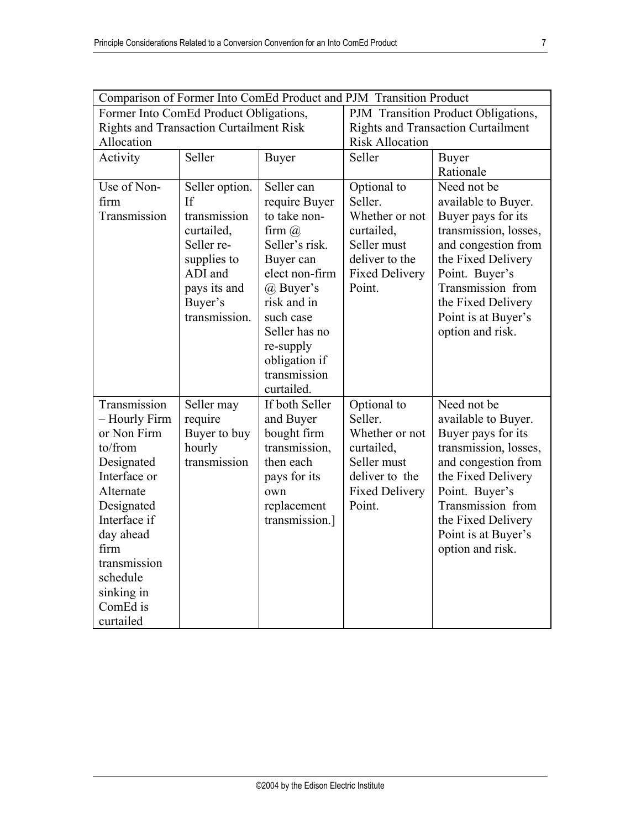| Comparison of Former Into ComEd Product and PJM Transition Product |                |                            |                                           |                       |
|--------------------------------------------------------------------|----------------|----------------------------|-------------------------------------------|-----------------------|
| Former Into ComEd Product Obligations,                             |                |                            | PJM Transition Product Obligations,       |                       |
| <b>Rights and Transaction Curtailment Risk</b>                     |                |                            | <b>Rights and Transaction Curtailment</b> |                       |
| Allocation                                                         |                |                            | <b>Risk Allocation</b>                    |                       |
| Activity                                                           | Seller         | <b>Buyer</b>               | Seller                                    | <b>Buyer</b>          |
|                                                                    |                |                            |                                           | Rationale             |
| Use of Non-                                                        | Seller option. | Seller can                 | Optional to                               | Need not be           |
| firm                                                               | If             | require Buyer              | Seller.                                   | available to Buyer.   |
| Transmission                                                       | transmission   | to take non-               | Whether or not                            | Buyer pays for its    |
|                                                                    | curtailed,     | firm $\omega$              | curtailed,                                | transmission, losses, |
|                                                                    | Seller re-     | Seller's risk.             | Seller must                               | and congestion from   |
|                                                                    | supplies to    | Buyer can                  | deliver to the                            | the Fixed Delivery    |
|                                                                    | ADI and        | elect non-firm             | <b>Fixed Delivery</b>                     | Point. Buyer's        |
|                                                                    | pays its and   | @ Buyer's                  | Point.                                    | Transmission from     |
|                                                                    | Buyer's        | risk and in                |                                           | the Fixed Delivery    |
|                                                                    | transmission.  | such case                  |                                           | Point is at Buyer's   |
|                                                                    |                | Seller has no              |                                           | option and risk.      |
|                                                                    |                | re-supply                  |                                           |                       |
|                                                                    |                | obligation if              |                                           |                       |
|                                                                    |                | transmission<br>curtailed. |                                           |                       |
| Transmission                                                       | Seller may     | If both Seller             | Optional to                               | Need not be           |
| - Hourly Firm                                                      | require        | and Buyer                  | Seller.                                   | available to Buyer.   |
| or Non Firm                                                        | Buyer to buy   | bought firm                | Whether or not                            | Buyer pays for its    |
| to/from                                                            | hourly         | transmission,              | curtailed,                                | transmission, losses, |
| Designated                                                         | transmission   | then each                  | Seller must                               | and congestion from   |
| Interface or                                                       |                | pays for its               | deliver to the                            | the Fixed Delivery    |
| Alternate                                                          |                | own                        | <b>Fixed Delivery</b>                     | Point. Buyer's        |
| Designated                                                         |                | replacement                | Point.                                    | Transmission from     |
| Interface if                                                       |                | transmission.]             |                                           | the Fixed Delivery    |
| day ahead                                                          |                |                            |                                           | Point is at Buyer's   |
| firm                                                               |                |                            |                                           | option and risk.      |
| transmission                                                       |                |                            |                                           |                       |
| schedule                                                           |                |                            |                                           |                       |
| sinking in                                                         |                |                            |                                           |                       |
| ComEd is                                                           |                |                            |                                           |                       |
| curtailed                                                          |                |                            |                                           |                       |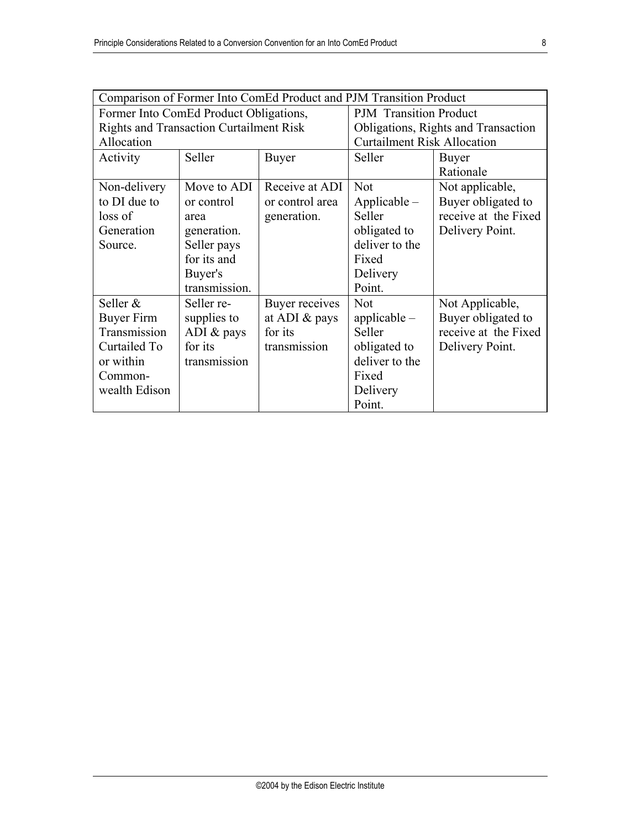| Comparison of Former Into ComEd Product and PJM Transition Product |               |                       |                                     |                      |
|--------------------------------------------------------------------|---------------|-----------------------|-------------------------------------|----------------------|
| Former Into ComEd Product Obligations,                             |               |                       | <b>PJM</b> Transition Product       |                      |
| <b>Rights and Transaction Curtailment Risk</b>                     |               |                       | Obligations, Rights and Transaction |                      |
| Allocation                                                         |               |                       | <b>Curtailment Risk Allocation</b>  |                      |
| Activity                                                           | Seller        | <b>Buyer</b>          | Seller                              | <b>Buyer</b>         |
|                                                                    |               |                       |                                     | Rationale            |
| Non-delivery                                                       | Move to ADI   | Receive at ADI        | <b>Not</b>                          | Not applicable,      |
| to DI due to                                                       | or control    | or control area       | $Applicable -$                      | Buyer obligated to   |
| loss of                                                            | area          | generation.           | Seller                              | receive at the Fixed |
| Generation                                                         | generation.   |                       | obligated to                        | Delivery Point.      |
| Source.                                                            | Seller pays   |                       | deliver to the                      |                      |
|                                                                    | for its and   |                       | Fixed                               |                      |
|                                                                    | Buyer's       |                       | Delivery                            |                      |
|                                                                    | transmission. |                       | Point.                              |                      |
| Seller &                                                           | Seller re-    | <b>Buyer receives</b> | <b>Not</b>                          | Not Applicable,      |
| Buyer Firm                                                         | supplies to   | at ADI $&$ pays       | applicable $-$                      | Buyer obligated to   |
| Transmission                                                       | ADI $&$ pays  | for its               | Seller                              | receive at the Fixed |
| Curtailed To                                                       | for its       | transmission          | obligated to                        | Delivery Point.      |
| or within                                                          | transmission  |                       | deliver to the                      |                      |
| Common-                                                            |               |                       | Fixed                               |                      |
| wealth Edison                                                      |               |                       | Delivery                            |                      |
|                                                                    |               |                       | Point.                              |                      |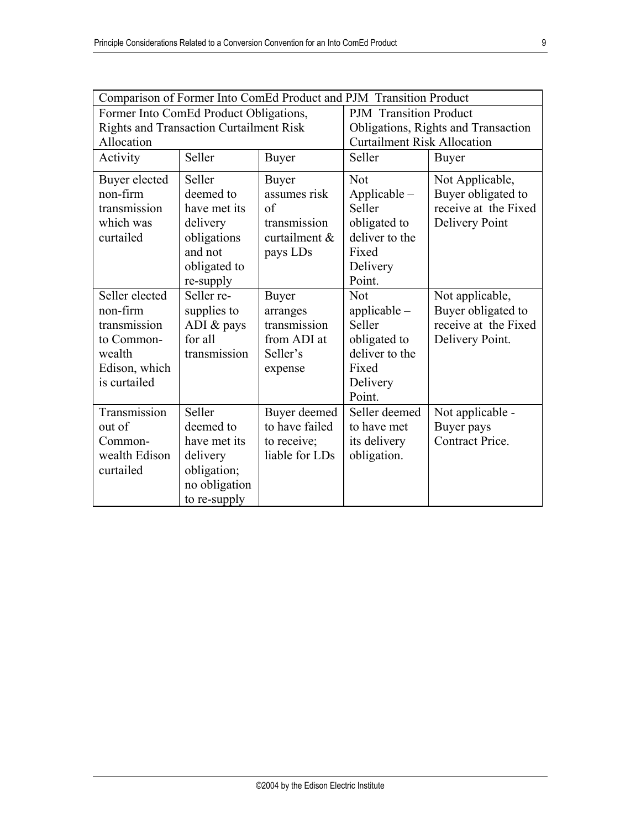| Comparison of Former Into ComEd Product and PJM Transition Product                                  |                                                                                                 |                                                                         |                                                                                                  |                                                                                  |
|-----------------------------------------------------------------------------------------------------|-------------------------------------------------------------------------------------------------|-------------------------------------------------------------------------|--------------------------------------------------------------------------------------------------|----------------------------------------------------------------------------------|
| Former Into ComEd Product Obligations,                                                              |                                                                                                 |                                                                         | <b>PJM</b> Transition Product                                                                    |                                                                                  |
| <b>Rights and Transaction Curtailment Risk</b>                                                      |                                                                                                 |                                                                         | Obligations, Rights and Transaction                                                              |                                                                                  |
| Allocation                                                                                          |                                                                                                 |                                                                         | <b>Curtailment Risk Allocation</b>                                                               |                                                                                  |
| Activity                                                                                            | Seller                                                                                          | <b>Buyer</b>                                                            | Seller                                                                                           | <b>Buyer</b>                                                                     |
| Buyer elected<br>non-firm<br>transmission<br>which was<br>curtailed                                 | Seller<br>deemed to<br>have met its<br>delivery<br>obligations                                  | <b>Buyer</b><br>assumes risk<br>of<br>transmission<br>curtailment &     | Not<br>$Applicable -$<br>Seller<br>obligated to<br>deliver to the                                | Not Applicable,<br>Buyer obligated to<br>receive at the Fixed<br>Delivery Point  |
|                                                                                                     | and not<br>obligated to<br>re-supply                                                            | pays LDs                                                                | Fixed<br>Delivery<br>Point.                                                                      |                                                                                  |
| Seller elected<br>non-firm<br>transmission<br>to Common-<br>wealth<br>Edison, which<br>is curtailed | Seller re-<br>supplies to<br>ADI & pays<br>for all<br>transmission                              | Buyer<br>arranges<br>transmission<br>from ADI at<br>Seller's<br>expense | Not<br>applicable $-$<br>Seller<br>obligated to<br>deliver to the<br>Fixed<br>Delivery<br>Point. | Not applicable,<br>Buyer obligated to<br>receive at the Fixed<br>Delivery Point. |
| Transmission<br>out of<br>Common-<br>wealth Edison<br>curtailed                                     | Seller<br>deemed to<br>have met its<br>delivery<br>obligation;<br>no obligation<br>to re-supply | Buyer deemed<br>to have failed<br>to receive;<br>liable for LDs         | Seller deemed<br>to have met<br>its delivery<br>obligation.                                      | Not applicable -<br>Buyer pays<br>Contract Price.                                |